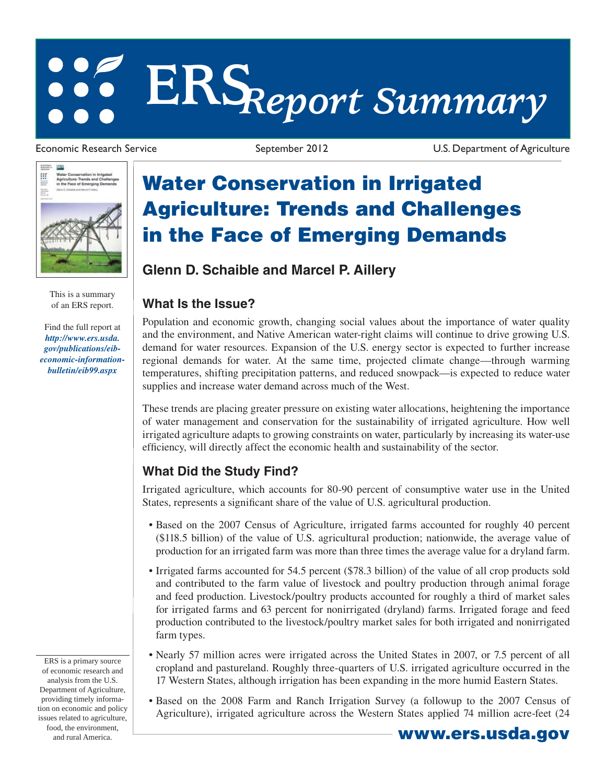# **ERS***Report Summary*



This is a summary of an ERS report.

Find the full report at *http://www.ers.usda. gov/publications/eib[economic-information](/publications/eib-economic-information-bulletin/eib99.aspx)bulletin/eib99.aspx*

Economic Research Service September 2012 U.S. Department of Agriculture

## **Water Conservation in Irrigated Agriculture: Trends and Challenges in the Face of Emerging Demands**

### **Glenn D. Schaible and Marcel P. Aillery**

#### **What Is the Issue?**

Population and economic growth, changing social values about the importance of water quality and the environment, and Native American water-right claims will continue to drive growing U.S. demand for water resources. Expansion of the U.S. energy sector is expected to further increase regional demands for water. At the same time, projected climate change—through warming temperatures, shifting precipitation patterns, and reduced snowpack—is expected to reduce water supplies and increase water demand across much of the West.

These trends are placing greater pressure on existing water allocations, heightening the importance of water management and conservation for the sustainability of irrigated agriculture. How well irrigated agriculture adapts to growing constraints on water, particularly by increasing its water-use efficiency, will directly affect the economic health and sustainability of the sector.

#### **What Did the Study Find?**

Irrigated agriculture, which accounts for 80-90 percent of consumptive water use in the United States, represents a significant share of the value of U.S. agricultural production.

- Based on the 2007 Census of Agriculture, irrigated farms accounted for roughly 40 percent (\$118.5 billion) of the value of U.S. agricultural production; nationwide, the average value of production for an irrigated farm was more than three times the average value for a dryland farm.
- Irrigated farms accounted for 54.5 percent (\$78.3 billion) of the value of all crop products sold and contributed to the farm value of livestock and poultry production through animal forage and feed production. Livestock/poultry products accounted for roughly a third of market sales for irrigated farms and 63 percent for nonirrigated (dryland) farms. Irrigated forage and feed production contributed to the livestock/poultry market sales for both irrigated and nonirrigated farm types.
- Nearly 57 million acres were irrigated across the United States in 2007, or 7.5 percent of all cropland and pastureland. Roughly three-quarters of U.S. irrigated agriculture occurred in the 17 Western States, although irrigation has been expanding in the more humid Eastern States.
- Based on the 2008 Farm and Ranch Irrigation Survey (a followup to the 2007 Census of Agriculture), irrigated agriculture across the Western States applied 74 million acre-feet (24

ERS is a primary source of economic research and analysis from the U.S. Department of Agriculture, providing timely information on economic and policy issues related to agriculture, food, the environment, and rural America. **www.ers.usda.gov**